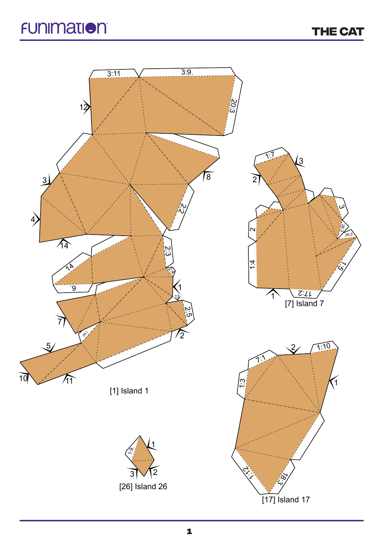**THE CAT**

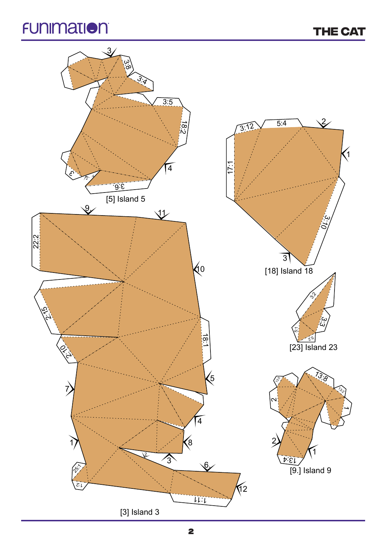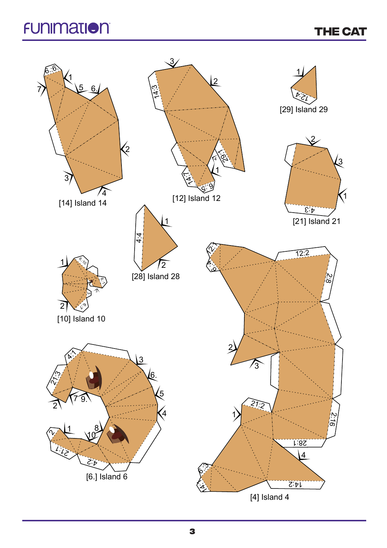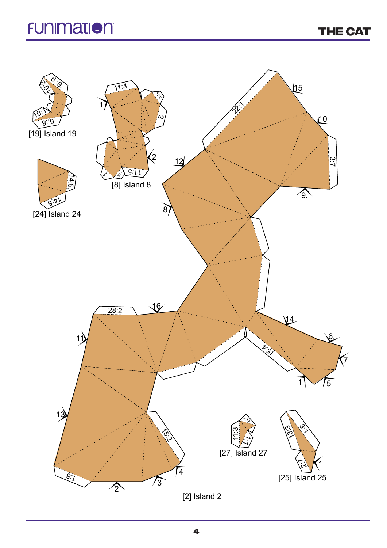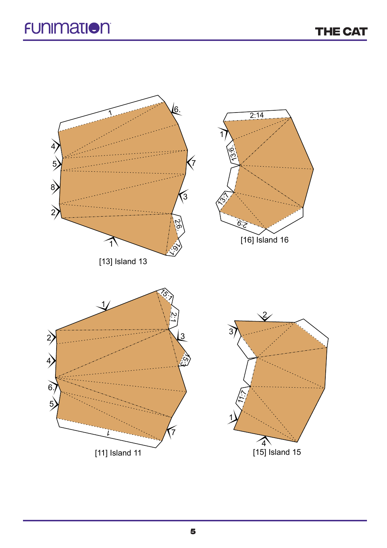